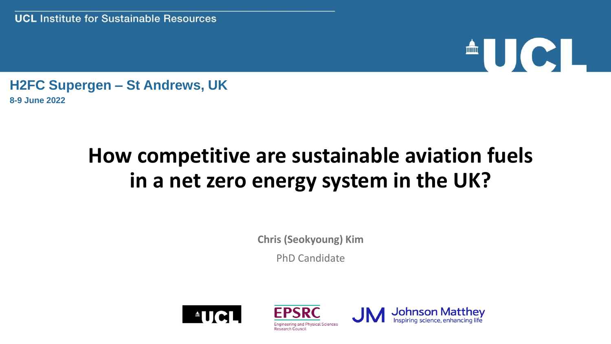# <sup>A</sup>UCI

**H2FC Supergen – St Andrews, UK 8-9 June 2022**

#### **How competitive are sustainable aviation fuels in a net zero energy system in the UK?**

**Chris (Seokyoung) Kim**

PhD Candidate





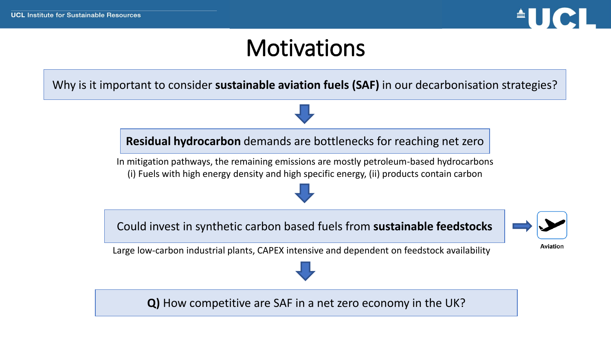

#### **Motivations**

Why is it important to consider **sustainable aviation fuels (SAF)** in our decarbonisation strategies?

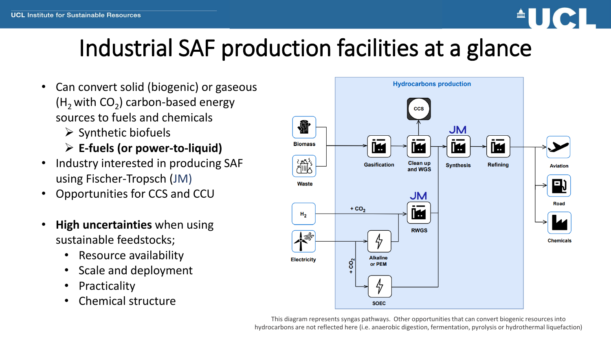

## Industrial SAF production facilities at a glance

- Can convert solid (biogenic) or gaseous ( $H_2$  with  $CO_2$ ) carbon-based energy sources to fuels and chemicals
	- $\triangleright$  Synthetic biofuels
	- ➢ **E-fuels (or power-to-liquid)**
- Industry interested in producing SAF using Fischer-Tropsch (JM)
- Opportunities for CCS and CCU
- **High uncertainties** when using sustainable feedstocks;
	- Resource availability
	- Scale and deployment
	- **Practicality**
	- Chemical structure



This diagram represents syngas pathways. Other opportunities that can convert biogenic resources into hydrocarbons are not reflected here (i.e. anaerobic digestion, fermentation, pyrolysis or hydrothermal liquefaction)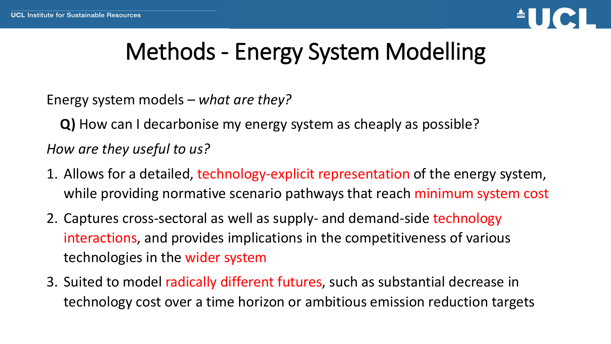

## Methods - Energy System Modelling

Energy system models *– what are they?* 

**Q)** How can I decarbonise my energy system as cheaply as possible?

*How are they useful to us?* 

- 1. Allows for a detailed, technology-explicit representation of the energy system, while providing normative scenario pathways that reach minimum system cost
- 2. Captures cross-sectoral as well as supply- and demand-side technology interactions, and provides implications in the competitiveness of various technologies in the wider system
- 3. Suited to model radically different futures, such as substantial decrease in technology cost over a time horizon or ambitious emission reduction targets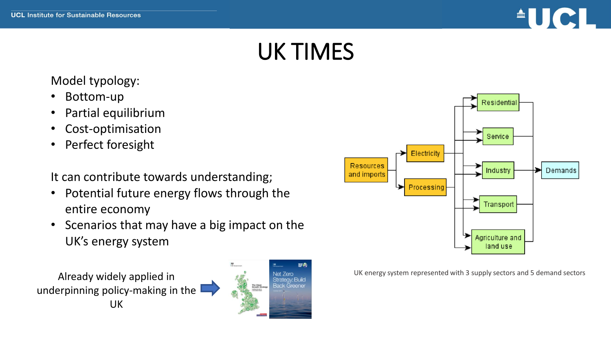

#### UK TIMES

#### Model typology:

- Bottom-up
- Partial equilibrium
- Cost-optimisation
- Perfect foresight

It can contribute towards understanding;

- Potential future energy flows through the entire economy
- Scenarios that may have a big impact on the UK's energy system







UK energy system represented with 3 supply sectors and 5 demand sectors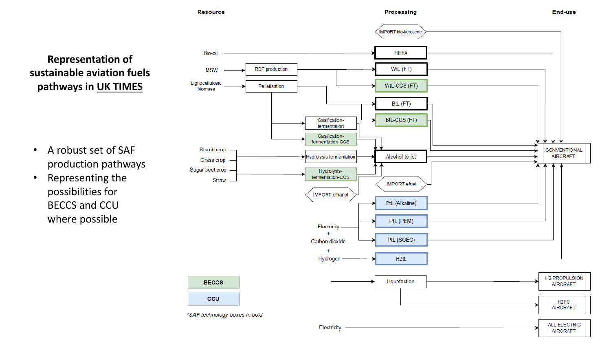

**Representation of sustainable aviation fuels pathways in UK TIMES** 

- A robust set of SAF production pathways
- Representing the possibilities for BECCS and CCU where possible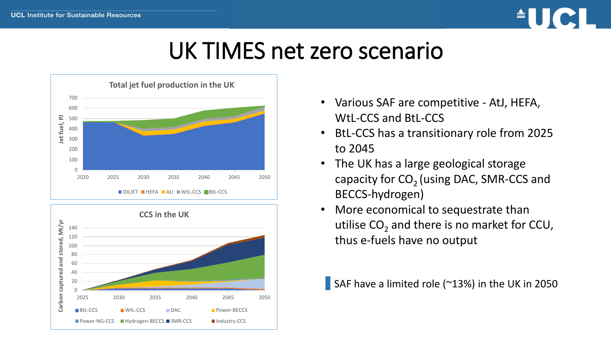and

captured

Carbon



#### UK TIMES net zero scenario



2025 2030 2035 2040 2045 2050

**BIL-CCS** MULL-CCS DAC Power-BECCS ■ Power-NG-CCS ■ Hydrogen-BECCS ■ SMR-CCS ■ Industry-CCS

- Various SAF are competitive AtJ, HEFA, WtL-CCS and BtL-CCS
- BtL-CCS has a transitionary role from 2025 to 2045
- The UK has a large geological storage capacity for  $CO<sub>2</sub>$  (using DAC, SMR-CCS and BECCS-hydrogen)
- More economical to sequestrate than utilise  $CO_2$  and there is no market for CCU, thus e-fuels have no output

SAF have a limited role (~13%) in the UK in 2050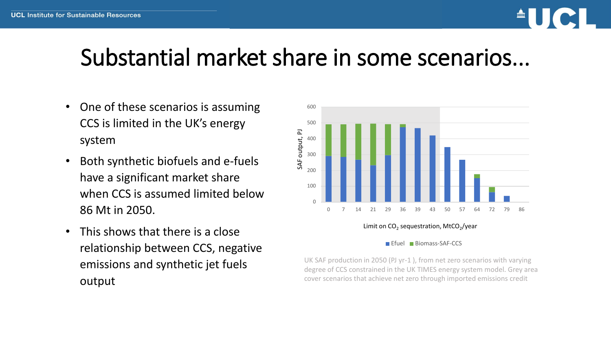

#### Substantial market share in some scenarios...

- One of these scenarios is assuming CCS is limited in the UK's energy system
- Both synthetic biofuels and e-fuels have a significant market share when CCS is assumed limited below 86 Mt in 2050.
- This shows that there is a close relationship between CCS, negative emissions and synthetic jet fuels output



Limit on CO<sub>2</sub> sequestration, MtCO<sub>2</sub>/year

#### Efuel Biomass-SAF-CCS

UK SAF production in 2050 (PJ yr-1 ), from net zero scenarios with varying degree of CCS constrained in the UK TIMES energy system model. Grey area cover scenarios that achieve net zero through imported emissions credit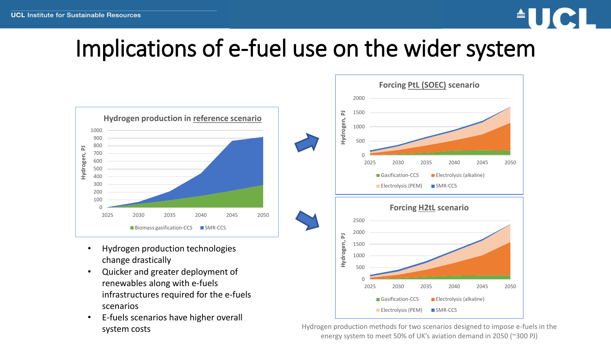

#### Implications of e-fuel use on the wider system



- Hydrogen production technologies change drastically
- Quicker and greater deployment of renewables along with e-fuels infrastructures required for the e-fuels scenarios
- E-fuels scenarios have higher overall system costs



Hydrogen production methods for two scenarios designed to impose e-fuels in the energy system to meet 50% of UK's aviation demand in 2050 (~300 PJ)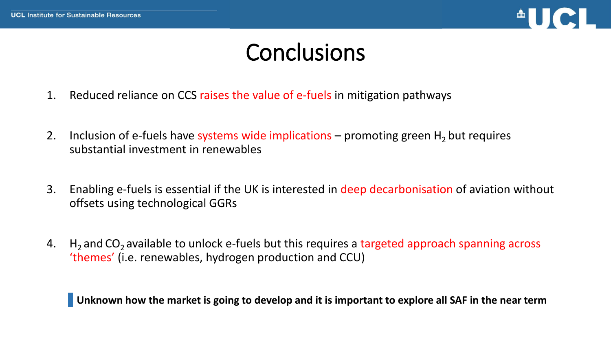

#### **Conclusions**

- 1. Reduced reliance on CCS raises the value of e-fuels in mitigation pathways
- 2. Inclusion of e-fuels have systems wide implications promoting green  $H_2$  but requires substantial investment in renewables
- 3. Enabling e-fuels is essential if the UK is interested in deep decarbonisation of aviation without offsets using technological GGRs
- 4.  $H_2$  and CO<sub>2</sub> available to unlock e-fuels but this requires a targeted approach spanning across 'themes' (i.e. renewables, hydrogen production and CCU)

**Unknown how the market is going to develop and it is important to explore all SAF in the near term**